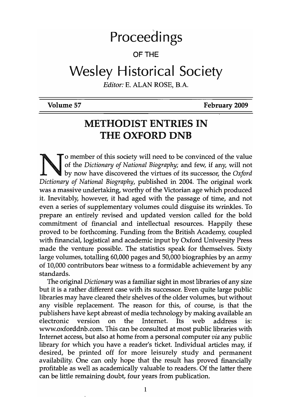# Proceedings

## OF THE

# Wesley Historical Society

*Editor:* E. ALAN ROSE, B.A.

Volume 57

February 2009

# METHODIST ENTRIES IN THE OXFORD DNB

o member of this society will need to be convinced of the value of the *Dictionary of National Biography;* and few, if any, will not by now have discovered the virtues of its successor, the *Oxford Dictionary of National Biography,* published in 2004. The original work was a massive undertaking, worthy of the Victorian age which produced it. Inevitably, however, it had aged with the passage of time, and not even a series of supplementary volumes could disguise its wrinkles. To prepare an entirely revised and updated version called for the bold commitment of financial and intellectual resources. Happily these proved to be forthcoming. Funding from the British Academy, coupled with financial, logistical and academic input by Oxford University Press made the venture possible. The statistics speak for themselves. Sixty large volumes, totalling 60,000 pages and 50,000 biographies by an army of 10,000 contributors bear witness to a formidable achievement by any standards.

The original *Dictionary* was a familiar sight in most libraries of any size but it is a rather different case with its successor. Even quite large public libraries may have cleared their shelves of the older volumes, but without any visible replacement. The reason for this, of course, is that the publishers have kept abreast of media technology by making available an electronic version on the Internet. Its web address is: www.oxforddnb.com.This can be consulted at most public libraries with Internet access, but also at home from a personal computer *via* any public library for which you have a reader's ticket. Individual articles may, if desired, be printed off for more leisurely study and permanent availability. One can only hope that the result has proved financially profitable as well as academically valuable to readers. Of the latter there can be little remaining doubt, four years from publication.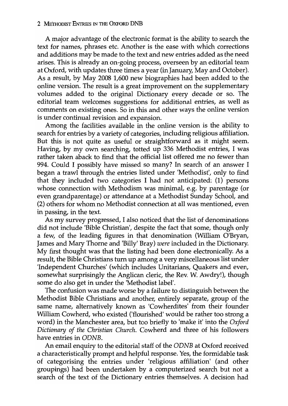#### 2 MEtHODIST ENIRlES IN THE OXFORD DNB

A major advantage of the electronic format is the ability to search the text for names, phrases etc. Another is the ease with which corrections and additions may be made to the text and new entries added as the need arises. This is already an on-going process, overseen by an editorial team at Oxford, with updates three times a year (in January, May and October). As a result, by May 2008 1,600 new biographies had been added to the online version. The result is a great improvement on the supplementary volumes added to the original Dictionary every decade or so. The editorial team welcomes suggestions for additional entries, as well as comments on existing ones. So in this and other ways the online version is under continual revision and expansion.

Among the facilities available in the online version is the ability to search for entries by a variety of categories, including religious affiliation. But this is not quite as useful or straightforward as it might seem. Having, by my own searching, totted up 336 Methodist entries, I was rather taken aback to find that the official list offered me no fewer than 994. Could I possibly have missed so many? In search of an answer I began a trawl through the entries listed under 'Methodist', only to find that they included two categories I had not anticipated: (1) persons whose connection with Methodism was minimal, e.g. by parentage (or even grandparentage) or attendance at a Methodist Sunday School, and (2) others for whom no Methodist connection at all was mentioned, even in passing, in the text.

As my survey progressed, I also noticed that the list of denominations did not include 'Bible Christian', despite the fact that some, though only a few, of the leading figures in that denomination (William O'Bryan, James and Mary Thorne and 'Billy' Bray) *were* included in the Dictionary. My first thought was that the listing had been done electronically. As a result, the Bible Christians turn up among a very miscellaneous list under 'Independent Churches' (which includes Unitarians, Quakers and even, somewhat surprisingly the Anglican cleric, the Rev. W. Awdry!), though some do also get in under the 'Methodist label'.

The confusion was made worse by a failure to distinguish between the Methodist Bible Christians and another, entirely separate, group of the same name, alternatively known as 'Cowherdites' from their founder William Cowherd, who existed ('flourished' would be rather too strong a word) in the Manchester area, but too briefly to 'make it' into the *Oxford Dictionary of the Christian Church.* Cowherd and three of his followers have entries in *ODNB.* 

An email enquiry to the editorial staff of the *ODNB* at Oxford received a characteristically prompt and helpful response. Yes, the formidable task of categorising the entries under 'religious affiliation' (and other groupings) had been undertaken by a computerized search but not a search of the text of the Dictionary entries themselves. A decision had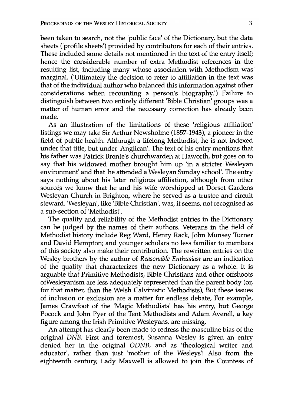been taken to search, not the 'public face' of the Dictionary, but the data sheets ('profile sheets') provided by contributors for each of their entries. These included some details not mentioned in the text of the entry itself; hence the considerable number of extra Methodist references in the resulting list, including many whose association with Methodism was<sup>-</sup> marginal. ('Ultimately the decision to refer to affiliation in the text was that of the individual author who balanced this information against other considerations when recounting a person's biography.') Failure to distinguish between two entirely different 'Bible Christian' groups was a matter of human error and the necessary correction has already been made.

As an illustration of the limitations of these 'religious affiliation' listings we may take Sir Arthur Newsholme (1857-1943), a pioneer in the field of public health. Although a lifelong Methodist, he is not indexed under that title, but under' Anglican'. The text of his entry mentions that his father was Patrick Bronte's churchwarden at Haworth, but goes on to say that his widowed mother brought him up 'in a stricter Wesleyan environment' and that 'he attended a Wesleyan Sunday school'. The entry says nothing about his later religious affiliation, although from other sources we know that he and his wife worshipped at Dorset Gardens Wesleyan Church in Brighton, where he served as a trustee and circuit steward. 'Wesleyan', like 'Bible Christian', was, it seems, not recognised as a sub-section of 'Methodist'.

The quality and reliability of the Methodist entries in the Dictionary can be judged by the names of their authors. Veterans in the field of Methodist history include Reg Ward, Henry Rack, John Munsey Turner and David Hempton; and younger scholars no less familiar to members of this society also make their contribution. The rewritten entries on the Wesley brothers by the author of *Reasonable Enthusiast* are an indication of the quality that characterizes the new Dictionary as a whole. It is arguable that Primitive Methodists, Bible Christians and other offshoots ofWesleyanism are less adequately represented than the parent body (or, for that matter, than the Welsh Calvinistic Methodists), But these issues of inclusion or exclusion are a matter for endless debate, For example, James Crawfoot of the 'Magic Methodists' has his entry, but George Pocock and John Pyer of the Tent Methodists and Adam Averell, a key figure among the Irish Primitive Wesleyans, are missing.

An attempt has clearly been made to redress the masculine bias of the original DNB. First and foremost, Susanna Wesley is given an entry denied her in the original DDNB, and as 'theological writer and educator', rather than just 'mother of the Wesleys'! Also from the eighteenth century, Lady Maxwell is allowed to join the Countess of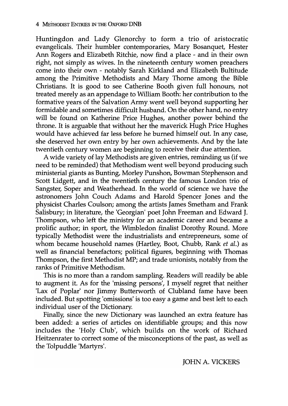Huntingdon and Lady Glenorchy to form a trio of aristocratic evangelicals. Their humbler contemporaries, Mary Bosanquet, Hester Ann Rogers and Elizabeth Ritchie, now find a place - and in their own right, not simply as wives. In the nineteenth century women preachers come into their own - notably Sarah Kirkland and Elizabeth Bultitude among the Primitive Methodists and Mary Thorne among the Bible Christians. It is good to see Catherine Booth given full honours, not treated merely as an appendage to William Booth: her contribution to the formative years of the Salvation Army went well beyond supporting her formidable and sometimes difficult husband. On the other hand, no entry will be found on Katherine Price Hughes, another power behind the throne. It is arguable that without her the maverick Hugh Price Hughes would have achieved far less before he burned himself out. In any case, she deserved her own entry by her own achievements. And by the late twentieth century women are beginning to receive their due attention.

A wide variety of lay Methodists are given entries, reminding us (if we need to be reminded) that Methodism went well beyond producing such ministerial giants as Bunting, Morley Punshon, Bowman Stephenson and Scott Lidgett, and in the twentieth century the famous London trio of Sangster, Soper and Weatherhead. In the world of science we have the astronomers John Couch Adams and Harold Spencer Jones and the physicist Charles Coulson; among the artists James Smetham and Frank Salisbury; in literature, the 'Georgian' poet John Freeman and Edward J. Thompson, who left the ministry for an academic career and became a prolific author; in sport, the Wimbledon finalist Dorothy Round. More typically Methodist were the industrialists and entrepreneurs, some of whom became household names (Hartley, Boot, Chubb, Rank *et al.)* as well as financial benefactors; political figures, beginning with Thomas Thompson, the first Methodist MP; and trade unionists, notably from the ranks of Primitive Methodism.

This is no more than a random sampling. Readers will readily be able to augment it. As for the 'missing persons', I myself regret that neither 'Lax of Poplar' nor Jimmy Butterworth of Clubland fame have been included. But spotting 'omissions' is too easy a game and best left to each individual user of the Dictionary.

Finally, since the new Dictionary was launched an extra feature has been added: a series of articles on identifiable groups; and this now includes the 'Holy Club', which builds on the work of Richard Heitzemater to correct some of the misconceptions of the past, as well as the Tolpuddle 'Martyrs'.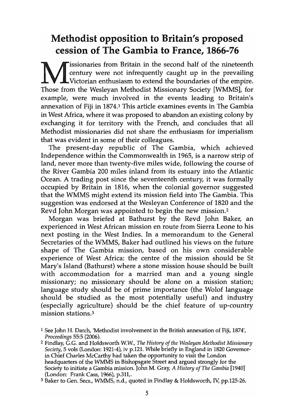# Methodist opposition to Britain's proposed cession of The Gambia to France, 1866-76

**Tissionaries from Britain in the second half of the nineteenth** century were not infrequently caught up in the prevailing Victorian enthusiasm to extend the boundaries of the empire. Those from the Wesleyan Methodist Missionary Society [WMMS], for example, were much involved in the events leading to Britain's annexation of Fiji in 1874,1 This article examines events in The Gambia in West Africa, where it was proposed to abandon an existing colony by exchanging it for territory with the French, and concludes that all Methodist missionaries did not share the enthusiasm for imperialism that was evident in some of their colleagues.

The present-day republic of The Gambia, which achieved Independence within the Commonwealth in 1965, is a narrow strip of land, never more than twenty-five miles wide, following the course of the River Gambia 200 miles inland from its estuary into the Atlantic Ocean. A trading post since the seventeenth century, it was formally occupied by Britain in 1816, when the colonial governor suggested that the WMMS might extend its mission field into The Gambia. This suggestion was endorsed at the Wesleyan Conference of 1820 and the Revd John Morgan was appointed to begin the new mission. <sup>2</sup>

Morgan was briefed at Bathurst by the Revd John Baker, an experienced in West African mission en route from Sierra Leone to his next posting in the West Indies. In a memorandum to the General Secretaries of the WMMS, Baker had outlined his views on the future shape of The Gambia mission, based on his own considerable experience of West Africa: the centre of the mission should be St Mary's Island (Bathurst) where a stone mission house should be built with accommodation for a married man and a young single missionary; no missionary should be alone on a mission station; language study should be of prime importance (the Wolof language should be studied as the most potentially useful) and industry (especially agriculture) should be the chief feature of up-country mission stations.3

<sup>1</sup> See John H. Darch, 'Methodist involvement in the British annexation of Fiji, 1874', *Proceedings* 55:5 (2006).

<sup>2</sup> Findlay, G.G. and Holdsworth W.W., *The History of the Wesleyan Methodist Missionary Society,* 5 vols (London: 1921-4), iv p.121. While briefly in England in 1820 Govemorin Chief Charles McCarthy had taken the opportunity to visit the London headquarters of the WMMS in Bishopsgate Street and argued strongly for the Society to initiate a Gambia mission. John M. Gray, *A History of The Gambia [1940]*  (London: Frank Cass, 1966), p.311,.

<sup>3</sup> Baker to Gen. Secs., WMMS, n.d., quoted in Findlay & Holdsworth, IV, pp.125-26.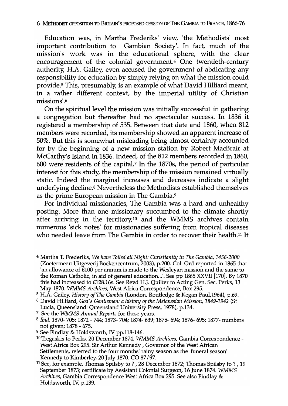Education was, in Martha Frederiks' view, 'the Methodists' most important contribution to Gambian Society'. In fact, much of the mission's work was in the educational sphere, with the clear encouragement of the colonial government. $4$  One twentieth-century authority, H.A. Gailey, even accused the government of abdicating any responsibility for education by simply relying on what the mission could piovide.5 This, presumably, is an example of what David Hilliard meant, in a rather different context, by the imperial utility of Christian missions'.6

On the spiritual level the mission was initially successful in gathering a congregation but thereafter had no spectacular success. In 1836 it registered a membership of 535. Between that date and 1860, when 812 members were recorded, its membership showed an apparent increase of 50%. But this is somewhat misleading being almost certainly accounted for by the beginning of a new mission station by Robert MacBrair at McCarthy's Island in 1836. Indeed, of the 812 members recorded in 1860, 600 were residents of the capital.7 In the 1870s, the period of particular interest for this study, the membership of the mission remained virtually static. Indeed the marginal increases and decreases indicate a slight underlying decline.8 Nevertheless the Methodists established themselves as the prime European mission in The Gambia.9

For individual missionaries, The Gambia was a hard and unhealthy posting. More than one missionary succumbed to the climate shortly after arriving in the territory,<sup>10</sup> and the WMMS archives contain numerous 'sick notes' for missionaries suffering from tropical diseases who needed leave from The Gambia in order to recover their health.<sup>11</sup> It

4 Martha T. Frederiks, *We have Toiled all Night: Christianity in The Gambia, 1456-2000*  (Zoetermeer: Uitgeverij Boekencentrum, 2003), p.200. Col. Ord reported in 1865 that 'an allowance of £100 per annum is made to the Wesleyan mission and the same to the Roman Catholic, in aid of general education ...'. See pp 1865 XXVII [170]. By 1870 this had increased to £128.16s. See Revd H.J. Quilter to Acting Gen. Sec. Perks, 13 May 1870. WMMS *Archives,* West Africa Correspondence, Box 295.

- 6 David Hilliard, *God's Gentlemen: a history of the Melanesian Mission,* 1849-1942 (St
- Lucia, Queensland: Queensland University Press, 1978), p.134.
- 7 See the *WMMS Annual Reports* for these years.
- 8 *Ibid.* 1870- 705; 1872 -.744; 1873- 704; 1874- 639; 1875- 694; 1876- 695; 1877- numbers not given; 1878 - 675.
- 9 See Findlay & Holdsworth, IV pp.118-146.

*ID* Tregaskis to Perks, 20 December 1874. *WMMS Archives,* Gambia Correspondence-West Africa Box 295. Sir Arthur Kennedy , Governor of the West African Settlements, referred to the four months' rainy season as the 'funeral season'. Kennedy to Kimberley, 20 July 1870. CO 87/97.

<sup>5</sup> H.A. Gailey, *History of The Gambia* (London, Routledge & Kegan Paul,1964), p.69.

<sup>&</sup>lt;sup>11</sup> See, for example, Thomas Spilsby to?, 28 December 1872; Thomas Spilsby to?, 19 September 1873; certificate by Assistant Colonial Surgeon, 16 June 1874. *WMMS Archives,* Gambia Correspondence West Africa Box 295. See also Findlay & Holdsworth, IV; p.139.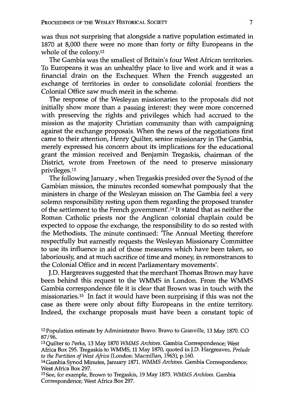was thus not surprising that alongside a native population estimated in 1870 at 8,000 there were no more than forty or fifty Europeans in the whole of the colony.<sup>12</sup>

The Gambia was the smallest of Britain's four West African territories. To Europeans it was an unhealthy place to live and work and it was a financial drain on the Exchequer. When the French suggested an exchange of territories in order to consolidate colonial frontiers the Colonial Office saw much merit in the scheme.

The response of the Wesleyan missionaries to the proposals did not initially show more than a passing interest: they were more concerned with preserving the rights and privileges which had accrued to the mission as the majority Christian community than with campaigning against the exchange proposals. When the news of the negotiations first came to their attention, Henry Quilter, senior missionary in The Gambia, merely expressed his concern about its implications for the educational grant the mission received and Benjamin Tregaskis, chairman of the District, wrote from Freetown of the need to preserve missionary privileges. 13

The following January, when Tregaskis presided over the Synod of the Gambian mission, the minutes recorded somewhat pompously that 'the ministers in charge of the Wesleyan mission on The Gambia feel a very solemn responsibility resting upon them regarding the proposed transfer of the settlement to the French government'.14 It stated that as neither the Roman Catholic priests nor the Anglican colonial chaplain could be expected to oppose the exchange, the responsibility to do so rested with the Methodists. The minute continued: 'The Annual Meeting therefore respectfully but earnestly requests the Wesleyan Missionary Committee to use its influence in aid of those measures which have been taken, so laboriously, and at much sacrifice of time and money, in remonstrances to the Colonial Office and in recent Parliamentary movements'.

J.D. Hargreaves suggested that the merchant Thomas Brown may have been behind this request to the WMMS in London. From the WMMS Gambia correspondence file it is clear that Brown was in touch with the missionaries.<sup>15</sup> In fact it would have been surprising if this was not the case as there were only about fifty Europeans in the entire territory. Indeed, the exchange proposals must have been a constant topic of

<sup>12</sup> Population estimate by Administrator Bravo. Bravo to Granville, 13 May 1870. CO 87/96.

<sup>13</sup> Quilter to Perks, 13 May 1870 *WMMS Archives.* Gambia Correspondence; West Africa Box 295. Tregaskis to WMMS, 11 May 1870, quoted in J.D. Hargreaves, *Prelude to the Partition of West Africa* (London: Macmillan, 1963), p.160.

<sup>14</sup> Gambia Synod Minutes, January 1871. WMMS *Archives.* Gambia Correspondence; West Africa Box 297.

<sup>15</sup>See, for example, Brown to Tregaskis, 19 May 1873. *WMMS Archives.* Gambia Correspondence; West Africa Box 297.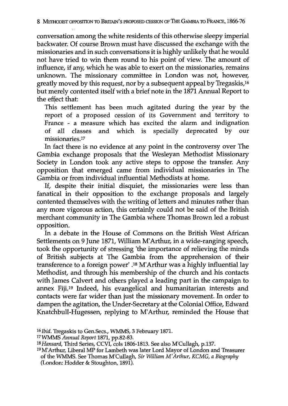conversation among the white residents of this otherwise sleepy imperial backwater: Of course Brown must have discussed the exchange with the missionaries and in such conversations it is highly unlikely that he would not have tried to win them round to his point of view. The amount of influence, if any, which he was able to exert on the missionaries, remains unknown. The missionary committee in London was not, however, greatly moved by this request, nor by a subsequent appeal by Tregaskis,16 but merely contented itself with a brief note in the 1871 Annual Report to the effect that:

This settlement has been much agitated during the year by the report of a proposed cession of its Government and territory to France - a measure which has excited the alarm and indignation of all classes and which is specially deprecated by our missionaries.<sup>17</sup>

In fact there is no evidence at any point in the controversy over The Gambia exchange proposals that the Wesleyan Methodist Missionary Society in London took any active steps to oppose the transfer. Any opposition that emerged came from individual missionaries in The Gambia or from individual influential Methodists at home.

If, despite their initial disquiet, the missionaries were less than fanatical in their opposition to the exchange proposals and largely contented themselves with the writing of letters and minutes rather than any more vigorous action, this certainly could not be said of the British merchant community in The Gambia where Thomas Brown led a robust opposition.

In a debate in the House of Commons on the British West African Settlements on 9 June 1871, William M'Arthur, in a wide-ranging speech, took the opportunity of stressing 'the importance of relieving the minds of British subjects at The Gambia from the apprehension of their transference to a foreign power' .18 M'Arthur was a highly influential lay Methodist, and through his membership of the church and his contacts with James Calvert and others played a leading part in the campaign to annex Fiji.19 Indeed, his evangelical and humanitarian interests and contacts were far wider than just the missionary movement. In order to dampen the agitation, the Under-Secretary at the Colonial Office, Edward Knatchbull-Hugessen, replying to M'Arthur, reminded the House that

*<sup>16</sup> Ibid.* Tregaskis to Gen.Secs., WMMS, 3 February 1871.

<sup>17</sup>WMMS *Annual Report* 1871, pp.82-83.

*<sup>18</sup> Hansard,* Third Series, CCVI, cols 1806-1813. See also M'Cullagh, p.137.

<sup>19</sup> M'Arthur, Liberal MP for Lambeth was later Lord Mayor of London and Treasurer of the WMMS. See Thomas M'Cullagh, *Sir William M'Arthur, KCMG, a Biography*  (London: Hodder & Stoughton, 1891).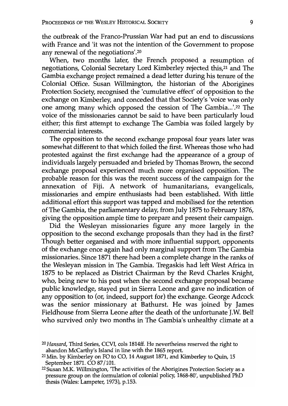the outbreak of the Franco-Prussian War had put an end to discussions with France and 'it was not the intention of the Government to propose any renewal of the negotiations'.20

When, two months later, the French proposed a resumption of negotiations, Colonial Secretary Lord Kimberley rejected this,21 and The Gambia exchange project remained a dead letter during his tenure of the Colonial Office. Susan Willmington, the historian of the Aborigines Protection Society, recognised the 'cumulative effect' of opposition to the exchange on Kimberley, and conceded that that Society's 'voice was only one among many which opposed the cession of The Gambia...'.<sup>22</sup> The voice of the missionaries cannot be said to have been particularly loud either; this first attempt to exchange The Gambia was foiled largely by commercial interests.

The opposition to the second exchange proposal four years later was somewhat different to that which foiled the first. Whereas those who had protested against the first exchange had the appearance of a group of individuals largely persuaded and briefed by Thomas Brown, the second exchange proposal experienced much more organised opposition. The probable reason for this was the recent success of the campaign for the annexation of Fiji. A network of humanitarians, evangelicals, missionaries and empire enthusiasts had been established. With little additional effort this support was tapped and mobilised for the retention of The Gambia, the parliamentary delay, from July 1875 to February 1876, giving the opposition ample time to prepare and present their campaign.

Did the Wesleyan missionaries figure any more largely in the opposition to the second exchange proposals than they had in the first? Though better organised and with more influential support, opponents of the exchange once again had only marginal support from The Gambia missionaries. Since 1871 there had been a complete change in the ranks of the Wesleyan mission in The Gambia. Tregaskis had left West Africa in 1875 to be replaced as District Chairman by the Revd Charles Knight, who, being new to his post when the second exchange proposal became public knowledge, stayed put in Sierra Leone and gave no indication of any opposition to (or, indeed, support for) the exchange. George Adcock was the senior missionary at Bathurst. He was joined by James Fieldhouse from Sierra Leone after the death of the unfortunate J.W. Bell who survived only two months in The Gambia's unhealthy climate at a

*<sup>20</sup> Hansard,* Third Series, CCVI, cols 1814ff. He nevertheless reserved the right to abandon McCarthy's Island in line with the 1865 report.

<sup>21</sup> Min. by Kimberley on FO to CO, 14 August 1871, and Kimberley to Quin, 15 September 1871. CO 87/101.

<sup>22</sup> Susan M.K. Willmington, The activities of the Aborigines Protection Society as a pressure group on the formulation of colonial policy, 1868-80', unpublished PhD thesis (Wales: Lampeter, 1973), p.153.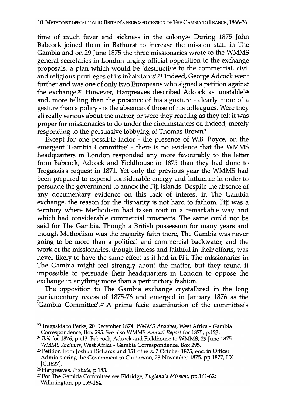time of much fever and sickness in the colony.23 During 1875 John Babcock joined them in Bathurst to increase the mission staff in The Gambia and on 29 June 1875 the three missionaries wrote to the WMMS general secretaries in London urging official opposition to the exchange proposals, a plan which would be 'destructive to the commercial, civil and religious privileges of its inhabitants' .24 Indeed, George Adcock went further and was one of only two Europeans who signed a petition against the exchange.25 However, Hargreaves described Adcock as 'unstable'26 and, more telling than the presence of his signature - clearly more of a gesture than a policy - is the absence of those of his colleagues. Were they all really serious about the matter, or were they reacting as they felt it was proper for missionaries to do under the circumstances or, indeed, merely responding to the persuasive lobbying of Thomas Brown?

Except for one possible factor - the presence of W.B. Boyce, on the emergent 'Gambia Committee' - there is no evidence that the WMMS headquarters in London responded any more favourably to the letter from Babcock, Adcock and Fieldhouse in 1875 than they had done to Tregaskis's request in 1871. Yet only the previous year the WMMS had been prepared to expend considerable energy and influence in order to persuade the government to annex the Fiji islands. Despite the absence of any documentary evidence on this lack of interest in The Gambia exchange, the reason for the disparity is not hard to fathom. Fiji was a territory where Methodism had taken root in a remarkable way and which had considerable commercial prospects. The same could not be said for The Gambia. Though a British possession for many years and though Methodism was the majority faith there, The Gambia was never going to be more than a political and commercial backwater, and the work of the missionaries, though tireless and faithful in their efforts, was never likely to have the same effect as it had in Fiji. The missionaries in The Gambia might feel strongly about the matter, but they found it impossible to persuade their headquarters in London to oppose the exchange in anything more than a perfunctory fashion.

The opposition to The Gambia exchange crystallized in the long parliamentary recess of 1875-76 and emerged in January 1876 as the 'Gambia Committee'.<sup>27</sup> A prima facie examination of the committee's

<sup>23</sup> Tregaskis to Perks, 20 December 1874. *WMMS Archives,* West Africa - Gambia Correspondence, Box 295. See also WMMS *Annual Report* for 1875, p.123.

<sup>&</sup>lt;sup>24</sup> Ibid for 1876, p.113. Babcock, Adcock and Fieldhouse to WMMS, 29 June 1875. *WMMS Archives,* West Africa - Gambia Correspondence, Box 295.

<sup>25</sup> Petition from Joshua Richards and 151 others, 7 October 1875, enc. in Officer Administering the Govemment to Carnarvon, 23 November 1875. pp 1877, LX  $[C.1827]$ .

<sup>26</sup> Hargreaves, *Prelude,* p.183.

<sup>27</sup>For The Gambia Committee see Eldridge, *England's Mission,* pp.161-62; Willmington, pp.159-164.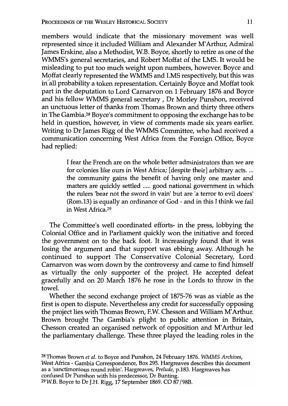members would indicate that the missionary movement was well represented since it included William and Alexander M'Arthur, Admiral James Erskine, also a Methodist, W.B. Boyce, shortly to retire as one of the WMMS's general secretaries, and Robert Moffat of the LMS. It would be misleading to put too much weight upon numbers, however. Boyce and Moffat clearly represented the WMMS and LMS respectively, but this was in all probability a token representation. Certainly Boyce and Moffat took part in the deputation to Lord Carnarvon on 1 February 1876 and Boyce and his fellow WMMS general secretary , Dr Morley Punshon, received an unctuous letter of thanks from Thomas Brown and thirty three others in The Gambia.28 Boyce's commitment to opposing the exchange has to be held in question, however, in view of comments made six years earlier. Writing to Dr James Rigg of the WMMS Committee, who had received a communication concerning West Africa from the Foreign Office, Boyce had replied:

> I fear the French are on the whole better administrators than we are for colonies like ours in West Africa; [despite their] arbitrary acts ... , the community gains the benefit of having only one master and matters are quickly settled ..... good national government in which the rulers 'bear not the sword in vain' but are 'a terror to evil doers' (Rom.13) is equally an ordinance of God - and in this I think we fail in West Africa.29

The Committee's well coordinated efforts- in the press, lobbying the Colonial Office and in Parliament quickly won the initiative and forced the government on to the back foot. It increasingly found that it was losing the argument and that support was ebbing away. Although he continued to support The Conservative Colonial Secretary, Lord Carnarvon was worn down by the controversy and came to find himself as virtually the only supporter of the project. He accepted defeat gracefully and on 20 March 1876 he rose in the Lords to throw in the towel.

Whether the second exchange project of 1875-76 was as viable as the first is open to dispute. Nevertheless any credit for successfully opposing the project lies with Thomas Brown, EW. Chesson and William M'Arthur. Brown brought The Gambia's plight to public attention in Britain, Chesson created an organised network of opposition and M'Arthur led the parliamentary challenge. These three played the leading roles in the

28 Thomas Brown *et al.* to Boyce and Punshon, 24 February 1876. *WMMS Archives,*  West Africa - Gambia Correspondence, Box 295. Hargreaves describes this document as a 'sanctimonious round robin'. Hargreaves, *Prelude,* p.183. Hargreaves has confused Dr Punshon with his predecessor, Dr Bunting. <sup>29</sup> W.B. Boyce to Dr J.H. Rigg,  $1\overline{7}$  September 1869. CO  $8\overline{7}$ /98B.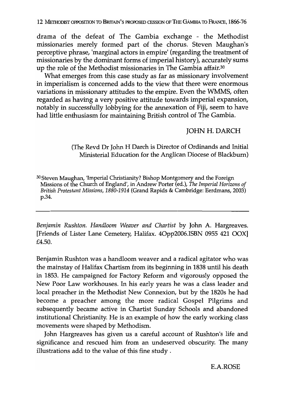drama of the defeat of The Gambia exchange - the Methodist missionaries merely formed part of the chorus. Steven Maughan's perceptive phrase, 'marginal actors in empire' (regarding the treatment of missionaries by the dominant forms of imperial history), accurately sums up the role of the Methodist missionaries in The Gambia affair.<sup>30</sup>

What emerges from this case study as far as missionary involvement in imperialism is concerned adds to the view that there were enormous variations in missionary attitudes to the empire. Even the WMMS, often regarded as having a very positive attitude towards imperial expansion, notably in successfully lobbying for the annexation of Fiji, seem to have had little enthusiasm for maintaining British control of The Gambia.

### JOHN H. DARCH

(The Revd Dr John H Darch is Director of Ordinands and Initial Ministerial Education for the Anglican Diocese of Blackbum)

30 Steven Maughan, 'Imperial Christianity? Bishop Montgomery and the Foreign Missions of the Church of England', in Andrew Porter (ed.), *The Imperial Horizons of British Protestant Missions, 1880-1914* (Grand Rapids & Cambridge: Eerdmans, 2003) p.34.

*Benjamin Rushton. Handloom Weaver and Chartist* by John A. Hargreaves. [Friends of Lister Lane Cemetery, Halifax. 40pp2006.1SBN 0955 421 OOX] £4.50.

Benjamin Rushton was a handloom weaver and a radical agitator who was the mainstay of Halifax Chartism from its beginning in 1838 until his death in 1853. He campaigned for Factory Reform and vigorously opposed the New Poor Law workhouses. In his early years he was a class leader and local preacher in the Methodist New Connexion, but by the 1820s he had become a preacher among the more radical Gospel Pilgrims and subsequently became active in Chartist Sunday Schools and abandoned institutional Christianity. He is an example of how the early working class movements were shaped by Methodism.

John Hargreaves has given us a careful account of Rushton's life and significance and rescued him from an undeserved obscurity. The many illustrations add to the value of this fine study.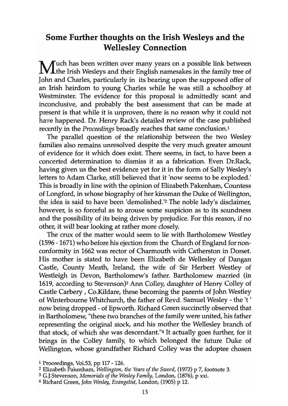# Some Further thoughts on the Irish Wesleys and the Wellesley Connection

**M**uch has been written over many years on a possible link between the Irish Wesleys and their English namesakes in the family tree of John and Charles, particularly in its bearing upon the supposed offer of an Irish heirdom to young Charles while he was still a schoolboy at Westminster. The evidence for this proposal is admittedly scant and inconclusive, and probably the best assessment that can be made at present is that while it is unproven, there is no reason why it could not have happened. Dr. Henry Rack's detailed review of the case published recently in the *Proceedings* broadly reaches that same conclusion.!

The parallel question of the relationship between the two Wesley families also remains unresolved despite the very much greater amount of evidence for it which does exist. There seems, in fact, to have been a concerted determination to dismiss it as a fabrication. Even Dr.Rack, having given us the best evidence yet for it in the form of Sally Wesley's letters to Adam Clarke, still believed that it 'now seems to be exploded.' This is broadly in line with the opinion of Elizabeth Pakenham, Countess of Longford, in whose biography of her kinsman the Duke of Wellington, the idea is said to have been 'demolished.'2 The noble lady's disclaimer, however, is so forceful as to arouse some suspicion as to its soundness and the possibility of its being driven by prejudice. For this reason, if no other, it will bear looking at rather more closely.

The crux of the matter would seem to lie with Bartholomew Westley (1596 - 1671) who before his ejection from the Church of England for nonconformity in 1662 was rector of Charmouth with Catherston in Dorset. His mother is stated to have been Elizabeth de Wellesley of Dangan Castle, County Meath, Ireland, the wife of Sir Herbert Westley of Westleigh in Devon, Bartholomew's father. Bartholomew married (in 1619, according to Stevenson)3 Ann Colley, daughter of Henry Colley of Castle Carbery , Co.Kildare, these becoming the parents of John Westley of Winterboume Whitchurch, the father of Revd. Samuel Wesley - the 't ' now being dropped - of Epworth. Richard Green succinctly observed that in Bartholomew, "these two branches of the family were united, his father representing the original stock, and his mother the Wellesley branch of that stock, of which she was descendant."4 It actually goes further, for it brings in the Colley family, to which belonged the future Duke of Wellington, whose grandfather Richard Colley was the adoptee chosen

<sup>1</sup> Proceedings, Vo1.53, pp 117 - 126.

<sup>2</sup> Elizabeth Pakenham, *Wellington, the Years of the Sword,* (1972) p 7, footnote 3.

<sup>3</sup> G.J.5tevenson, *Memorials of the Wesley Family,* London, (1876), p xxi.

<sup>4</sup> Richard Green, *John Wesley, Evangelist,* London, (1905) p 12.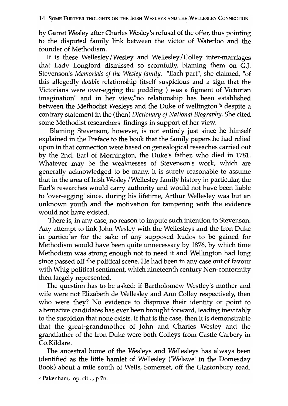by Garret Wesley after Charles Wesley's refusal of the offer, thus pointing to the disputed family link between the victor of Waterloo and the founder of Methodism.

It is these Wellesley /Wesley and Wellesley / Colley inter-marriages that Lady Longford dismissed so scornfully, blaming them on G.l. Stevenson's *Memorials of the Wesley family.* "Each part", she claimed, "of this allegedly *double* relationship (itself suspicious and a sign that the Victorians were over-egging the pudding ) was a figment of Victorian imagination" and in her view,"no relationship has been established between the Methodist Wesleys and the Duke of wellington"<sup>5</sup> despite a contrary statement in the (then) *Dictionary of National Biography.* She cited some Methodist researchers' findings in support of her view.

Blaming Stevenson, however, is not entirely just since he himself explained in the Preface to the book that the family papers he had relied upon in that connection were based on genealogical reseaches carried out by the 2nd. Earl of Mornington, the Duke's father, who died in 178l. Whatever may be the weaknesses of Stevenson's work, which are generally acknowledged to be many, it is surely reasonable to assume that in the area of Irish Wesley /Wellesley family history in particular, the Earl's researches would carry authority and would not have been liable to 'over-egging' since, during his lifetime, Arthur Wellesley was but an unknown youth and the motivation for tampering with the evidence would not have existed.

There is, in any case, no reason to impute such intention to Stevenson. Any attempt to link John Wesley with the Wellesleys and the Iron Duke in particular for the sake of any supposed kudos to be gained for Methodism would have been quite unnecessary by 1876, by which time Methodism was strong enough not to need it and Wellington had long since passed off the political scene. He had been in any case out of favour with Whig political sentiment, which nineteenth century Non-conformity then largely represented.

The question has to be asked: if Bartholomew Westley's mother and wife were not Elizabeth de Wellesley and Ann Colley respectively, then who were they? No evidence to disprove their identity or point to alternative candidates has ever been brought forward, leading inevitably to the suspicion that none exists. If that is the case, then it is demonstrable that the great-grandmother of John and Charles Wesley and the grandfather of the Iron Duke were both Colleys from Castle Carbery in Co.Kildare.

The ancestral home of the Wesleys and Wellesleys has always been identified as the little hamlet of Wellesley ('Welswe' in the Domesday Book) about a mile south of Wells, Somerset, off the Glastonbury road.

S Pakenham, op. cit . , p 7n.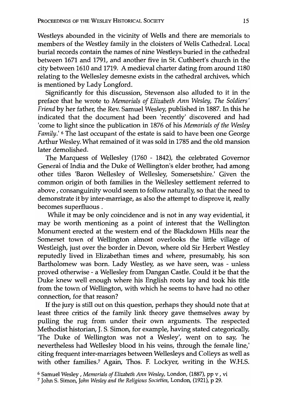Westleys abounded in the vicinity of Wells and there are memorials to members of the Westley family in the cloisters of Wells Cathedral. Local burial records contain the names of nine Westleys buried in the cathedral between 1671 and 1791, and another five in St. Cuthbert's church in the city between 1610 and 1719. A medieval charter dating from around 1180 relating to the Wellesley demesne exists in the cathedral archives, which is mentioned by Lady Longford.

Significantly for this discussion, Stevenson also alluded to it in the preface that he wrote to *Memorials of Elizabeth Ann Wesley, The Soldiers' Friend* by her father, the Rev. Samuel Wesley, published in 1887. In this he indicated that the document had been 'recently' discovered and had 'come to light since the publication in 1876 of his *Memorials of the Wesley Family.'* <sup>6</sup> The last occupant of the estate is said to have been one George Arthur Wesley. What remained of it was sold in 1785 and the old mansion later demolished.

The Marquess of Wellesley (1760 - 1842), the celebrated Governor General of India and the Duke of Wellington's elder brother, had among other titles 'Baron Wellesley of Wellesley, Somersetshire.' Given the common origin of both families in the Wellesley settlement referred to above, consanguinity would seem to follow naturally, so that the need to demonstrate it by inter-marriage, as also the attempt to disprove it, really becomes superfluous.

While it may be only coincidence and is not in any way evidential, it may be worth mentioning as a point of interest that the Wellington Monument erected at the western end of the Blackdown Hills near the Somerset town of Wellington almost overlooks the little village of Westleigh, just over the border in Devon, where old Sir Herbert Westley reputedly lived in Elizabethan times and where, presumably, his son Bartholomew was born. Lady Westley, as we have seen, was - unless proved otherwise - a Wellesley from Dangan Castle. Could it be that the Duke knew well enough where his English roots lay and took his title from the town of Wellington, with which he seems to have had no other connection, for that reason?

If the jury is still out on this question, perhaps they should note that at least three critics of the family link theory gave themselves away by pulling the rug from under their own arguments. The respected Methodist historian, J. S. Simon, for example, having stated categorically, 'The Duke of Wellington was not a Wesley', went on to say, 'he nevertheless had Wellesley blood in his veins, through the female line,' citing frequent inter-marriages between Wellesleys and Colleys as well as with other families.<sup>7</sup> Again, Thos. F. Lockyer, writing in the W.H.S.

<sup>6</sup> Samuel Wesley , *Memorials of Elizabeth Ann Wesley,* London, (1887), pp v , vi

<sup>7</sup> John S. Simon, *John Wesleyand the Religious Societies,* London, (1921), p 29.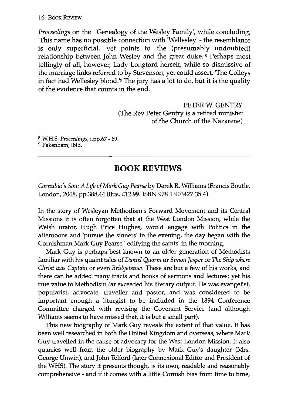*Proceedings* on the 'Genealogy of the Wesley Family', while concluding, 'This name has no possible connection with 'Wellesley' - the resemblance is only superficial,' yet points to 'the (presumably undoubted) relationship between John Wesley and the great duke.'<sup>8</sup> Perhaps most tellingly of all, however, Lady Longford herself, while so dismissive of the marriage links referred to by Stevenson, yet could assert, 'The Colleys in fact had Wellesley blood.'9 The jury has a lot to do, but it is the quality of the evidence that counts in the end.

> PETER W. GENTRY (The Rev Peter Gentry is a retired minister of the Church of the Nazarene)

8 W.H.S. *Proceedings,* i.pp.67 - 69. <sup>9</sup> Pakenham, ibid.

# BOOK REVIEWS

*Cornubia's Son: A Life of Mark Guy Pearse* by Derek R. Williams (Francis Boutle, London, 2008, pp.388,44 illus. £12.99. ISBN 978 1 90342735 4)

In the story of Wesleyan Methodism's Forward Movement and its Central Missions it is often forgotten that at the West London Mission, while the Welsh orator, Hugh Price Hughes, would engage with Politics in the afternoons and 'pursue the sinners' in the evening, the day began with the Cornishman Mark Guy Pearse ' edifying the saints' in the morning.

Mark Guy is perhaps best known to an older generation of Methodists familiar with his quaint tales of *Daniel Quorm* or *Simon Jasper* or *The Ship where Christ was Captain* or even *Bridgetstow.* These are but a few of his works, and there can be added many tracts and books of sermons and lectures; yet his true value to Methodism far exceeded his literary output. He was evangelist, popularist, advocate, traveller and pastor, and was considered to be important enough a liturgist to be included in the 1894 Conference Committee charged with revising the Covenant Service (and although Williams seems to have missed that, it is but a small part).

This new biography of Mark Guy reveals the extent of that value. It has been well researched in both the United Kingdom and overseas, where Mark Guy travelled in the cause of advocacy for the West London Mission. It also quarries well from the older biography by Mark Guy's daughter (Mrs. George Unwin), and John Telford (later Connexional Editor and President of the WHS). The story it presents though, is its own, readable and reasonably comprehensive - and if it comes with a little Cornish bias from time to time,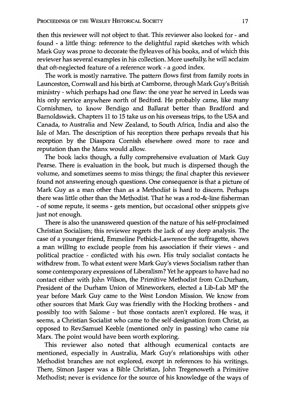then this reviewer will not object to that. This reviewer also looked for - and found - a little thing: reference to the delightful rapid sketches with which Mark Guy was prone to decorate the flyleaves of his books, and of which this reviewer has several examples in his collection. More usefully, he will acclaim that oft-neglected feature of a reference work - a good index.

The work is mostly narrative. The pattern flows first from family roots in Launceston, Cornwall and his birth at Camborne, through Mark Guy's British ministry - which perhaps had one flaw: the one year he served in Leeds was his only service anywhere north of Bedford. He probably came, like many Cornishmen, to know Bendigo and Ballarat better than Bradford and Barnoldswick. Chapters 11 to 15 take us on his overseas trips, to the USA and Canada, to Australia and New Zealand, to South Africa, India and also the Isle of Man. The description of his reception there perhaps reveals that his reception by the Diaspora Cornish elsewhere owed more to race and reputation than the Manx would allow.

The book lacks though, a fully comprehensive evaluation of Mark Guy Pearse. There is evaluation in the book, but much is dispersed though the volume, and sometimes seems to miss things; the final chapter this reviewer found not answering enough questions. One consequence is that a picture of Mark Guy as a man other than as a Methodist is hard to discern. Perhaps there was little other than the Methodist. That he was a rod-&-line fisherman - of some repute, it seems - gets mention, but occasional other snippets give just not enough.

There is also the unanswered question of the nature of his self-proclaimed Christian Socialism; this reviewer regrets the lack of any deep analysis. The case of a younger friend, Emmeline Pethick-Lawrence the suffragette, shows a man willing to exclude people from his association if their views - and political practice - conflicted with his own. His truly socialist contacts he withdrew from. To what extent were Mark Guy's views Socialism rather than some contemporary expressions of Liberalism? Yet he appears to have had no contact either with John Wilson, the Primitive Methodist from Co. Durham, President of the Durham Union of Mineworkers, elected a Lib-Lab MP the year before Mark Guy came to the West London Mission. We know from other sources that Mark Guy was friendly with the Hocking brothers - and possibly too with Salome - but those contacts aren't explored. He was, it seems, a Christian Socialist who came to the self-designation from Christ, as opposed to Rev.Samuel Keeble (mentioned only in passing) who came *via*  Marx. The point would have been worth exploring.

This reviewer also noted that although ecumenical contacts are mentioned, especially in Australia, Mark Guy's relationships with other Methodist branches are not explored, except in references to his writings. There, Simon Jasper was a Bible Christian, John Tregenoweth a Primitive Methodist; never is evidence for the source of his knowledge of the ways of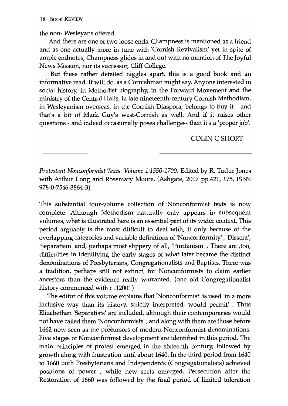#### 18 BOOK REVIEW

the non- Wesleyans offered.

And there are one or two loose ends. Champness is mentioned as a friend and as one actually more in tune with 'Cornish Revivalism' yet in spite of ample endnotes, Champness glides in and out with no mention of The Joyful News Mission, nor its successor, Cliff College.

But these rather detailed niggles apart, this is a good book and an informative read. It will do, as a Cornishman might say. Anyone interested in social history, in Methodist biography, in the Forward Movement and the ministry of the Central Halls, in late nineteenth-century Cornish Methodism, in Wesleyanism overseas, in the Cornish Diaspora, belongs to buy it - and that's a bit of Mark Guy's west-Cornish as well. And if it raises other questions - and indeed occasionally poses challenges- then it's a 'proper job'.

### COLIN C SHORT

*Protestant Nonconformist Texts. Volume 1:1550-1700.* Edited by R. Tudur Jones with Arthur Long and Rosemary Moore. (Ashgate, 2007 pp.421, £75, ISBN 978-0-7546-3864-3 ).

This substantial four-volume collection of· Nonconformist texts is now complete. Although Methodism naturally only appears in subsequent volumes, what is illustrated here is an essential'part of its wider context. This period arguably is the most difficult to deal with, if only because of the overlapping categories and variable definitions of 'Nonconformity', 'Dissent', 'Separatism' and, perhaps most slippery of all, 'Puritanism' . There are ,too, difficulties in identifying the early stages of what later became the distinct denominations of Presbyterians, Congregationalists and Baptists. There was a tradition, perhaps still not extinct, for Nonconformists to claim earlier ancestors than the evidence really warranted. (one old Congregationalist history commenced with c .1200! )

The editor of this volume explains that 'Nonconformist' is used 'in a more inclusive way than its history, strictly interpreted, would permit' . Thus Elizabethan 'Separatists' are included, although their contemporaries would not have called them 'Nonconformists' ; and along with them are those before 1662 now seen as the precursors of modern Nonconformist denominations. Five stages of Nonconformist development are identified in this period. The main principles of protest emerged in the sixteenth century, followed by growth along with frustration until about 1640. In the third period from 1640 to 1660 both Presbyterians and Independents (Congregationalists) achieved positions of power , while new sects emerged. Persecution after the Restoration of 1660 was followed by the final period of limited toleration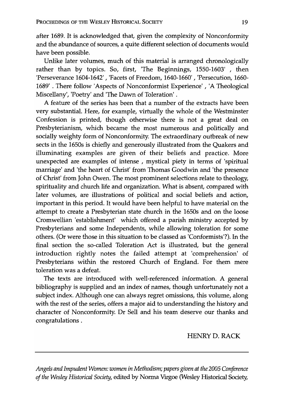after 1689. It is acknowledged that, given the complexity of Nonconformity and the abundance of sources, a quite different selection of documents would have been possible.

Unlike later volumes, much of this material is arranged chronologically rather than by topics. So, first, 'The Beginnings, 1550-1603' , then 'Perseverance 1604-1642' , 'Facets of Freedom, 1640-1660' , 'Persecution, 1660- 1689' . There follow 'Aspects of Nonconformist Experience' , 'A Theological Miscellany', 'Poetry' and 'The Dawn of Toleration' .

A feature of the series has been that a number of the extracts have been very substantial. Here, for example, virtually the whole of the Westminster Confession is printed, though otherwise there is not a great deal on Presbyterianism, which became the most numerous and politically and socially weighty form of Nonconformity. The extraordinary outbreak of new sects in the 1650s is chiefly and generously illustrated from the Quakers and illuminating examples are given of their beliefs and practice. More unexpected are examples of intense , mystical piety in terms of 'spiritual marriage' and 'the heart of Christ' from Thomas Goodwin and 'the presence of Christ' from John Owen. The most prominent selections relate to theology, spirituality and church life and organization. What is absent, compared with later volumes, are illustrations of political and social beliefs and action, important in this period. It would have been helpful to have material on the attempt to create a Presbyterian state church in the 1650s and on the loose Cromwellian 'establishment' which offered a parish ministry accepted by Presbyterians and some Independents, while allowing toleration for some others. (Or were those in this situation to be classed as 'Conformists'?). In the final section the so-called Toleration Act is illustrated, but the general introduction rightly notes the failed attempt at 'comprehension' of Presbyterians within the restored Church of England. For them mere toleration was a defeat.

The texts are introduced with well-referenced information. A general bibliography is supplied and an index of names, though unfortunately not a subject index. Although one can always regret omissions, this volume, along with the rest of the series, offers a major aid to understanding the history and character of Nonconformity. Dr Sell and his team deserve our thanks and congratulations.

HENRY D. RACK

*Angels and Impudent Women: women* in *Methodism; papers given at the 2005 Conference of the Wesley Historical Society,* edited by Norma Virgoe (Wesley Historical Society;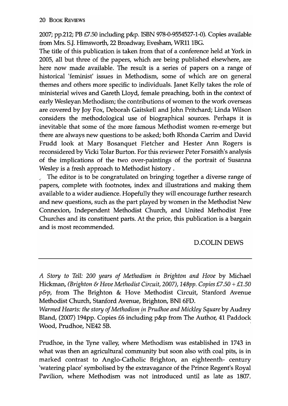2007; pp.212; PB £7.50 inclucling p&p. ISBN 978-0-9554527-1-0). Copies available from Mrs. S.J. Himsworth, 22 Broadway, Evesham, WR11 1BG.

The title of this publication is taken from that of a conference held at York in 2005, all but three of the papers, which are being published elsewhere, are here now made available. The result is a series of papers on a range of historical 'feminist' issues in Methodism, some of which are on general themes and others more specific to individuals. Janet Kelly takes the role of ministerial wives and Gareth Lloyd, female preaching, both in the context of early Wesleyan Methodism; the contributions of women to the work overseas are covered by Joy Fox, Deborah Gaitskell and John Pritchard; Linda Wilson considers the methodological use of biographical sources. Perhaps it is inevitable that some of the more famous Methodist women re-emerge but there are always new questions to be asked; both Rhonda Carrim and David Frudd look at Mary Bosanquet Fletcher and Hester Ann Rogers is reconsidered by Vicki Tolar Burton. For this reviewer Peter Forsaith's analysis of the implications of the two over-paintings of the portrait of Susanna Wesley is a fresh approach to Methodist history.

*,f* The editor is to be congratulated on bringing together a diverse range of papers, complete with footnotes, index and illustrations and making them available to a wider audience. Hopefully they will encourage further research and new questions, such as the part played by women in the Methodist New Connexion, Independent Methodist Church, and United Methodist Free Churches and its constituent parts. At the price, this publication is a bargain and is most recommended.

### D.COLIN DEWS

Prudhoe, in the Tyne valley, where Methodism was established in 1743 in what was then an agricultural community but soon also with coal pits, is in marked contrast to Anglo-Catholic Brighton, an eighteenth- century 'watering place' symbolised by the extravagance of the Prince Regent's Royal Pavilion, where Methodism was not introduced until as late as 1807.

*A Story* to *Tell: 200 years of Methodism in Brighton and Hove* by Michael Hickman, *(Brighton* & *Hove Methodist Circuit, 2007), 148pp. Copies £7.50* + *£1.50*   $p\&p$ , from The Brighton & Hove Methodist Circuit, Stanford Avenue Methodist Church, Stanford Avenue, Brighton, BNI 6FD.

*Warmed Hearts: the story of Methodismjn Prudhoe and Mickley Square* by Audrey Bland, (2007) 194pp. Copies £6 including p&p from The Author, 41 Paddock Wood, Prudhoe, NE42 5B.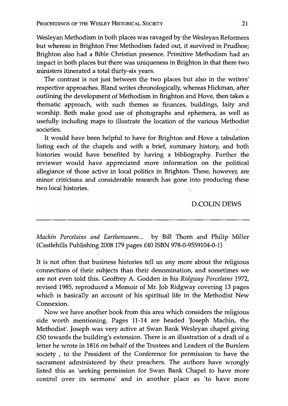Wesleyan Methodism in both places was ravaged by the Wesleyan Reformers but whereas in Brighton Free Methodism faded out, it survived in Prudhoe; Brighton also had a Bible Christian presence. Primitive Methodism had an impact in both places but there was uniqueness in Brighton in that there two ministers itinerated a total thirty-six years.

The contrast is not just between the two places but also in the writers' respective approaches. Bland writes chronologically, whereas Hickman, after outlining the development of Methodism in Brighton and Hove, then takes a thematic approach, with such themes as finances, buildings, laity and worship. Both make good use of photographs and ephemera, as well as usefully including maps to illustrate the location of the various Methodist societies.

It would have been helpful to have for Brighton and Hove a tabulation listing each of the chapels and with a brief, summary history, and both histories would have benefited by having a bibliography. Further the reviewer would have appreciated more information on the political allegiance of those active in local politics in Brighton. These, however, are minor criticisms and considerable research has gone into producing these two local histories.

#### D.COLIN DEWS

*Machin Porcelains and Earthenwares...* by Bill Thorn and Philip Miller (Castlehills Publishing 2008179 pages £40 ISBN 978-0-9559104-0-1)

It is not often that business histories tell us any more about the religious connections of their subjects than their denomination, and sometimes we are not even told this. Geoffrey A. Godden in his *Ridgway Porcelains 1972,*  revised 1985, reproduced a Memoir of Mr. Job Ridgway covering 13 pages which is basically an account of his spiritual life in the Methodist New Connexion.

Now we have another book from this area which considers the religious side worth mentioning. Pages 11-14 are headed 'Joseph Machin, the Methodist'. Joseph was very active at Swan Bank Wesleyan chapel giving £50 towards the building's extension. There is an illustration of a draft of a letter he wrote in 1816 on behalf of the Trustees and Leaders of the Burslem society , to the President of the Conference for permission to have the sacrament administered by their preachers. The authors have wrongly listed this as 'seeking permission for Swan Bank Chapel to have more control over its sermons' and in' another place as 'to have more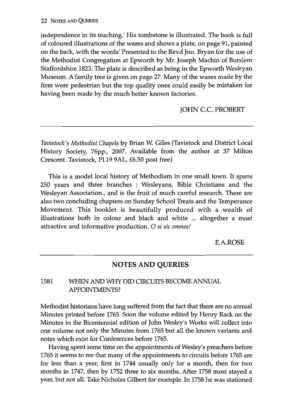independence in its teaching.' His tombstone is illustrated. The book is full of coloured illustrations of the wares and shows a plate, on page 91, painted on the back, with the words' Presented to the Revd Jno. Bryan for the use of the Methodist Congregation at Epworth by Mr. Joseph Machin of Burslem Staffordshire 1823. The plate is described as being in the Epworth Wesleyan Museum. A family tree is given on page 27. Many of the wares made by the firm were pedestrian but the top quality ones could easily be mistaken for having been made by the much better known factories.

JOHN c.c. PROBERT

*Tavistock's Methodist Chapels* by Brian W. Giles (Tavistock and District Local History Society, 76pp., 2007. Available from the author at 37 Milton Crescent. Tavistock, PL19 9AL, £6.50 post free)

This is a model local history of Methodism in one small town. It spans 250 years and three branches : Wesleyans, Bible Christians and the Wesleyan Association., and is the fruit of much careful research. There are also two concluding chapters on Sunday School Treats and the Temperance Movement. This booklet is beautifully produced with a wealth of illustrations both in colour and black and white ... altogether a most attractive and informative production. 0 si *sic omnes!* 

E.A.ROSE

# **NOTES AND QUERIES**

### 1581 WHEN AND WHY DID CIRCUITS BECOME ANNUAL APPOINTMENTS?

Methodist historians have long suffered from the fact that there are no annual Minutes printed before 1765. Soon the volume edited by Henry Rack on the Minutes in the Bicentennial edition of John Wesley's Works will collect into one volume not only the Minutes from 1765 but all the known variants and notes which exist for Conferences before 1765.

Having spent some time on the appointments of Wesley's preachers before 1765 it seems to me that many of the appointments to circuits before 1765 are for less than a year, first in 1744 usually only for a month, then for two months in 1747, then by 1752 three to six months. After 1758 most stayed a year, but not all. Take Nicholas Gilbert for example. In 1758 he was stationed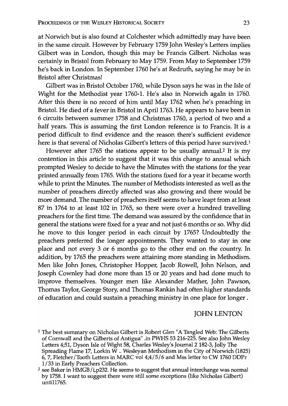at Norwich but is also found at Colchester which admittedly may have been in the same circuit. However by February 1759 John Wesley's Letters implies Gilbert was in London, though this may be Francis Gilbert. Nicholas was certainly in Bristol from February to May 1759. From May to September 1759 he's back in London. In September 1760 he's at Redruth, saying he may be in Bristol after Christmas!

Gilbert was in Bristol October 1760, while Dyson says he was in the Isle of Wight for the Methodist year 1760-1. He's also in Norwich agaIn in 1760. After this there is no record of him until May 1762 when he's preaching in Bristol. He died of a fever in Bristol in April 1763. He appears to have been in 6 circuits between summer 1758 and Christmas 1760, a period of two and a half years. This is assuming the first London reference is to Francis. It is a period difficult to find evidence and the reason there's sufficient evidence here is that several of Nicholas Gilbert's letters of this period have survived.<sup>1</sup>

However after 1765 the stations appear to be usually annual.2 It is my contention in this article to suggest that it was this change to annual which prompted Wesley to decide to have the Minutes with the stations for the year printed annually from 1765. With the stations fixed for a year it became worth while to print the Minutes. The number of Methodists interested as well as the number of preachers directly affected was also growing and there would be more demand. The number of preachers itself seems to have leapt from at least 87 in 1764 to at least 102 in 1765, so there were over a hundred travelling preachers for the first time. The demand was assured by the confidence that in general the stations were fixed for a year and not just 6 months or so. Why did he move to this longer period in each circuit by 1765? Undoubtedly the preachers preferred the longer appointments. They wanted to stay in one place and not every 3 or 6 months go to the other end on the country. In addition, by 1765 the preachers were attaining more standing in Methodism. Men like John Jones, Christopher Hopper, Jacob< Rowell, John Nelson, and Joseph Cownley had done more than 15 or 20 years and had done much to improve themselves. Younger men like Alexander Mather, John Pawson, Thomas Taylor, George Story; and Thomas Rankin had often higher standards of education and could sustain a preaching ministry in one place for longer.

### **JOHN LENTON**

<sup>1</sup> The best summary on Nicholas Gilbert is Robert Glen "A Tangled Web: The Gilberts of Cornwall and the Gilberts of Antigua" .in PWHS 53 216-225. See also John Wesley Letters 4;51, Dyson Isle of Wight 58, Charles Wesley's Journal 2182-3, Jolly The Spreading Flame 17, Lorkin W .. Wesleyan Methodism in the City of Norwich (1825) 6, 7, Fletcher /Tooth Letters in MARC vol 4;4/5/6 and Mss letter to CW 1760 DDPr 1/33 in Early Preachers Collection.

<sup>2</sup> see Baker in HMGB / i, p232. He seems to suggest that annual interchange was normal by 1758. I want to suggest there were still some exceptions (like Nicholas Gilbert) unti11765.